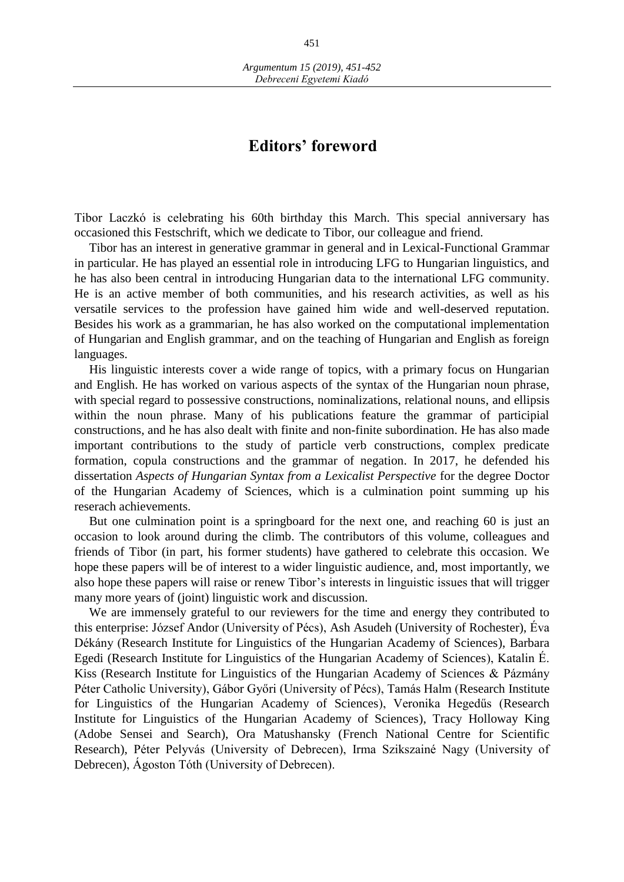## **Editors' foreword**

Tibor Laczkó is celebrating his 60th birthday this March. This special anniversary has occasioned this Festschrift, which we dedicate to Tibor, our colleague and friend.

Tibor has an interest in generative grammar in general and in Lexical-Functional Grammar in particular. He has played an essential role in introducing LFG to Hungarian linguistics, and he has also been central in introducing Hungarian data to the international LFG community. He is an active member of both communities, and his research activities, as well as his versatile services to the profession have gained him wide and well-deserved reputation. Besides his work as a grammarian, he has also worked on the computational implementation of Hungarian and English grammar, and on the teaching of Hungarian and English as foreign languages.

His linguistic interests cover a wide range of topics, with a primary focus on Hungarian and English. He has worked on various aspects of the syntax of the Hungarian noun phrase, with special regard to possessive constructions, nominalizations, relational nouns, and ellipsis within the noun phrase. Many of his publications feature the grammar of participial constructions, and he has also dealt with finite and non-finite subordination. He has also made important contributions to the study of particle verb constructions, complex predicate formation, copula constructions and the grammar of negation. In 2017, he defended his dissertation *Aspects of Hungarian Syntax from a Lexicalist Perspective* for the degree Doctor of the Hungarian Academy of Sciences, which is a culmination point summing up his reserach achievements.

But one culmination point is a springboard for the next one, and reaching 60 is just an occasion to look around during the climb. The contributors of this volume, colleagues and friends of Tibor (in part, his former students) have gathered to celebrate this occasion. We hope these papers will be of interest to a wider linguistic audience, and, most importantly, we also hope these papers will raise or renew Tibor's interests in linguistic issues that will trigger many more years of (joint) linguistic work and discussion.

We are immensely grateful to our reviewers for the time and energy they contributed to this enterprise: József Andor (University of Pécs), Ash Asudeh (University of Rochester), Éva Dékány (Research Institute for Linguistics of the Hungarian Academy of Sciences), Barbara Egedi (Research Institute for Linguistics of the Hungarian Academy of Sciences), Katalin É. Kiss (Research Institute for Linguistics of the Hungarian Academy of Sciences & Pázmány Péter Catholic University), Gábor Győri (University of Pécs), Tamás Halm (Research Institute for Linguistics of the Hungarian Academy of Sciences), Veronika Hegedűs (Research Institute for Linguistics of the Hungarian Academy of Sciences), Tracy Holloway King (Adobe Sensei and Search), Ora Matushansky (French National Centre for Scientific Research), Péter Pelyvás (University of Debrecen), Irma Szikszainé Nagy (University of Debrecen), Ágoston Tóth (University of Debrecen).